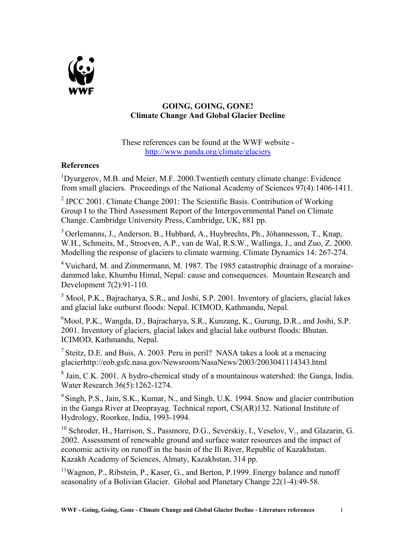

## **GOING, GOING, GONE! Climate Change And Global Glacier Decline**

These references can be found at the WWF website <http://www.panda.org/climate/glaciers>

## **References**

<sup>1</sup>Dyurgerov, M.B. and Meier, M.F. 2000.Twentieth century climate change: Evidence from small glaciers. Proceedings of the National Academy of Sciences 97(4):1406-1411.

<sup>2</sup> IPCC 2001. Climate Change 2001: The Scientific Basis. Contribution of Working Group I to the Third Assessment Report of the Intergovernmental Panel on Climate Change. Cambridge University Press, Cambridge, UK, 881 pp.

3 Oerlemanns, J., Anderson, B., Hubbard, A., Huybrechts, Ph., Jóhannesson, T., Knap, W.H., Schmeits, M., Stroeven, A.P., van de Wal, R.S.W., Wallinga, J., and Zuo, Z. 2000. Modelling the response of glaciers to climate warming. Climate Dynamics 14: 267-274.

<sup>4</sup> Vuichard, M. and Zimmermann, M. 1987. The 1985 catastrophic drainage of a morainedammed lake, Khumbu Himal, Nepal: cause and consequences. Mountain Research and Development 7(2):91-110.

 $<sup>5</sup>$  Mool, P.K., Bajracharya, S.R., and Joshi, S.P. 2001. Inventory of glaciers, glacial lakes</sup> and glacial lake outburst floods: Nepal. ICIMOD, Kathmandu, Nepal.

<sup>6</sup>Mool, P.K., Wangda, D., Bajracharya, S.R., Kunzang, K., Gurung, D.R., and Joshi, S.P. 2001. Inventory of glaciers, glacial lakes and glacial lake outburst floods: Bhutan. ICIMOD, Kathmandu, Nepal.

<sup>7</sup> Steitz, D.E. and Buis, A. 2003. Peru in peril? NASA takes a look at a menacing glacierhttp://eob.gsfc.nasa.gov/Newsroom/NasaNews/2003/2003041114343.html

 $8$  Jain, C.K. 2001. A hydro-chemical study of a mountainous watershed: the Ganga, India. Water Research 36(5):1262-1274.

<sup>9</sup> Singh, P.S., Jain, S.K., Kumar, N., and Singh, U.K. 1994. Snow and glacier contribution in the Ganga River at Deoprayag. Technical report, CS(AR)132. National Institute of Hydrology, Roorkee, India, 1993-1994.

<sup>10</sup> Schroder, H., Harrison, S., Passmore, D.G., Severskiy, I., Veselov, V., and Glazarin, G. 2002. Assessment of renewable ground and surface water resources and the impact of economic activity on runoff in the basin of the Ili River, Republic of Kazakhstan. Kazakh Academy of Sciences, Almaty, Kazakhstan, 314 pp.

 $11$ Wagnon, P., Ribstein, P., Kaser, G., and Berton, P.1999. Energy balance and runoff seasonality of a Bolivian Glacier. Global and Planetary Change 22(1-4):49-58.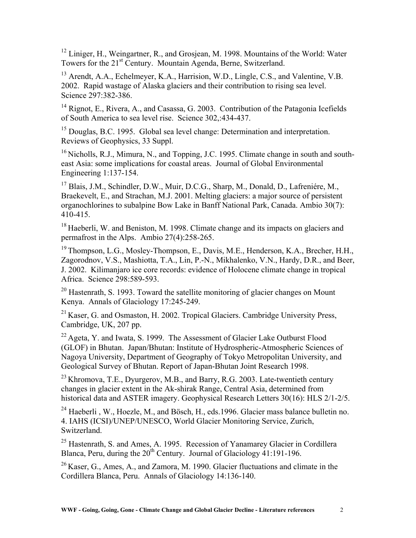<sup>12</sup> Liniger, H., Weingartner, R., and Grosjean, M. 1998. Mountains of the World: Water Towers for the 21<sup>st</sup> Century. Mountain Agenda, Berne, Switzerland.

<sup>13</sup> Arendt, A.A., Echelmeyer, K.A., Harrision, W.D., Lingle, C.S., and Valentine, V.B. 2002. Rapid wastage of Alaska glaciers and their contribution to rising sea level. Science 297:382-386.

<sup>14</sup> Rignot, E., Rivera, A., and Casassa, G. 2003. Contribution of the Patagonia Icefields of South America to sea level rise. Science 302,:434-437.

<sup>15</sup> Douglas, B.C. 1995. Global sea level change: Determination and interpretation. Reviews of Geophysics, 33 Suppl.

<sup>16</sup> Nicholls, R.J., Mimura, N., and Topping, J.C. 1995. Climate change in south and southeast Asia: some implications for coastal areas. Journal of Global Environmental Engineering 1:137-154.

<sup>17</sup> Blais, J.M., Schindler, D.W., Muir, D.C.G., Sharp, M., Donald, D., Lafreniére, M., Braekevelt, E., and Strachan, M.J. 2001. Melting glaciers: a major source of persistent organochlorines to subalpine Bow Lake in Banff National Park, Canada. Ambio 30(7): 410-415.

<sup>18</sup> Haeberli, W. and Beniston, M. 1998. Climate change and its impacts on glaciers and permafrost in the Alps. Ambio 27(4):258-265.

<sup>19</sup> Thompson, L.G., Mosley-Thompson, E., Davis, M.E., Henderson, K.A., Brecher, H.H., Zagorodnov, V.S., Mashiotta, T.A., Lin, P.-N., Mikhalenko, V.N., Hardy, D.R., and Beer, J. 2002. Kilimanjaro ice core records: evidence of Holocene climate change in tropical Africa. Science 298:589-593.

 $20$  Hastenrath, S. 1993. Toward the satellite monitoring of glacier changes on Mount Kenya. Annals of Glaciology 17:245-249.

 $^{21}$  Kaser, G. and Osmaston, H. 2002. Tropical Glaciers. Cambridge University Press, Cambridge, UK, 207 pp.

<sup>22</sup> Ageta, Y. and Iwata, S. 1999. The Assessment of Glacier Lake Outburst Flood (GLOF) in Bhutan. Japan/Bhutan: Institute of Hydrospheric-Atmospheric Sciences of Nagoya University, Department of Geography of Tokyo Metropolitan University, and Geological Survey of Bhutan. Report of Japan-Bhutan Joint Research 1998.

 $^{23}$  Khromova, T.E., Dyurgerov, M.B., and Barry, R.G. 2003. Late-twentieth century changes in glacier extent in the Ak-shirak Range, Central Asia, determined from historical data and ASTER imagery. Geophysical Research Letters 30(16): HLS 2/1-2/5.

 $^{24}$  Haeberli, W., Hoezle, M., and Bösch, H., eds.1996. Glacier mass balance bulletin no. 4. IAHS (ICSI)/UNEP/UNESCO, World Glacier Monitoring Service, Zurich, Switzerland.

<sup>25</sup> Hastenrath, S. and Ames, A. 1995. Recession of Yanamarey Glacier in Cordillera Blanca, Peru, during the  $20^{th}$  Century. Journal of Glaciology 41:191-196.

<sup>26</sup> Kaser, G., Ames, A., and Zamora, M. 1990. Glacier fluctuations and climate in the Cordillera Blanca, Peru. Annals of Glaciology 14:136-140.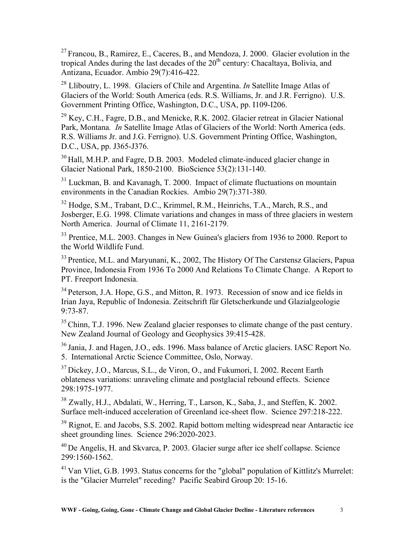$27$  Francou, B., Ramirez, E., Caceres, B., and Mendoza, J. 2000. Glacier evolution in the tropical Andes during the last decades of the 20<sup>th</sup> century: Chacaltaya, Bolivia, and Antizana, Ecuador. Ambio 29(7):416-422.

28 Lliboutry, L. 1998. Glaciers of Chile and Argentina. *In* Satellite Image Atlas of Glaciers of the World: South America (eds. R.S. Williams, Jr. and J.R. Ferrigno). U.S. Government Printing Office, Washington, D.C., USA, pp. I109-I206.

<sup>29</sup> Key, C.H., Fagre, D.B., and Menicke, R.K. 2002. Glacier retreat in Glacier National Park, Montana*. In* Satellite Image Atlas of Glaciers of the World: North America (eds. R.S. Williams Jr. and J.G. Ferrigno). U.S. Government Printing Office, Washington, D.C., USA, pp. J365-J376.

<sup>30</sup> Hall, M.H.P. and Fagre, D.B. 2003. Modeled climate-induced glacier change in Glacier National Park, 1850-2100. BioScience 53(2):131-140.

<sup>31</sup> Luckman, B. and Kavanagh, T. 2000. Impact of climate fluctuations on mountain environments in the Canadian Rockies. Ambio 29(7):371-380.

<sup>32</sup> Hodge, S.M., Trabant, D.C., Krimmel, R.M., Heinrichs, T.A., March, R.S., and Josberger, E.G. 1998. Climate variations and changes in mass of three glaciers in western North America. Journal of Climate 11, 2161-2179.

<sup>33</sup> Prentice, M.L. 2003. Changes in New Guinea's glaciers from 1936 to 2000. Report to the World Wildlife Fund.

<sup>33</sup> Prentice, M.L. and Maryunani, K., 2002, The History Of The Carstensz Glaciers, Papua Province, Indonesia From 1936 To 2000 And Relations To Climate Change. A Report to PT. Freeport Indonesia.

<sup>34</sup> Peterson, J.A. Hope, G.S., and Mitton, R. 1973. Recession of snow and ice fields in Irian Jaya, Republic of Indonesia. Zeitschrift für Gletscherkunde und Glazialgeologie 9:73-87.

<sup>35</sup> Chinn, T.J. 1996. New Zealand glacier responses to climate change of the past century. New Zealand Journal of Geology and Geophysics 39:415-428.

<sup>36</sup> Jania, J. and Hagen, J.O., eds. 1996. Mass balance of Arctic glaciers. IASC Report No. 5. International Arctic Science Committee, Oslo, Norway.

<sup>37</sup> Dickey, J.O., Marcus, S.L., de Viron, O., and Fukumori, I. 2002. Recent Earth oblateness variations: unraveling climate and postglacial rebound effects. Science 298:1975-1977.

38 Zwally, H.J., Abdalati, W., Herring, T., Larson, K., Saba, J., and Steffen, K. 2002. Surface melt-induced acceleration of Greenland ice-sheet flow. Science 297:218-222.

<sup>39</sup> Rignot, E. and Jacobs, S.S. 2002. Rapid bottom melting widespread near Antaractic ice sheet grounding lines. Science 296:2020-2023.

40 De Angelis, H. and Skvarca, P. 2003. Glacier surge after ice shelf collapse. Science 299:1560-1562.

<sup>41</sup> Van Vliet, G.B. 1993. Status concerns for the "global" population of Kittlitz's Murrelet: is the "Glacier Murrelet" receding? Pacific Seabird Group 20: 15-16.